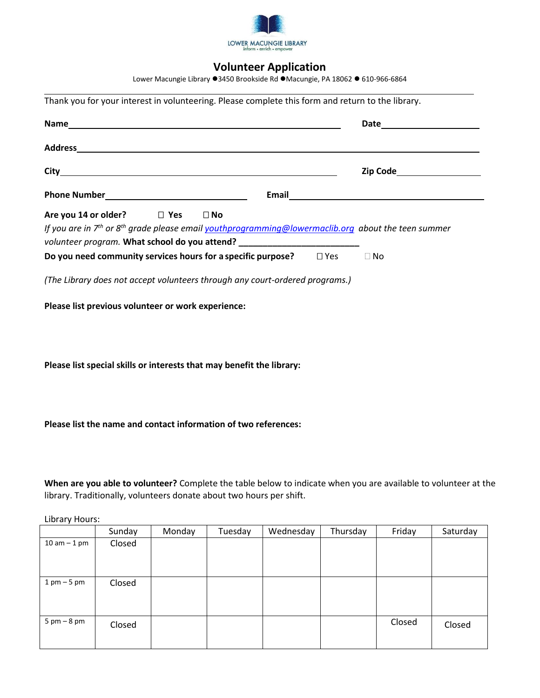

# **Volunteer Application**

Lower Macungie Library 3450 Brookside Rd Macungie, PA 18062 610-966-6864

| Thank you for your interest in volunteering. Please complete this form and return to the library.                                                                                          |           |
|--------------------------------------------------------------------------------------------------------------------------------------------------------------------------------------------|-----------|
|                                                                                                                                                                                            |           |
|                                                                                                                                                                                            |           |
|                                                                                                                                                                                            |           |
| Are you 14 or older? $\Box$ Yes $\Box$ No                                                                                                                                                  |           |
| If you are in $7th$ or $8th$ grade please email youthprogramming@lowermaclib.org about the teen summer<br>volunteer program. What school do you attend? __________________________________ |           |
| Do you need community services hours for a specific purpose? $\Box$ Yes                                                                                                                    | $\Box$ No |
| (The Library does not accept volunteers through any court-ordered programs.)                                                                                                               |           |
| Please list previous volunteer or work experience:                                                                                                                                         |           |
|                                                                                                                                                                                            |           |
|                                                                                                                                                                                            |           |
|                                                                                                                                                                                            |           |
| Please list special skills or interests that may benefit the library:                                                                                                                      |           |

**Please list the name and contact information of two references:**

**When are you able to volunteer?** Complete the table below to indicate when you are available to volunteer at the library. Traditionally, volunteers donate about two hours per shift.

Library Hours:

|                               | Sunday | Monday | Tuesday | Wednesday | Thursday | Friday | Saturday |
|-------------------------------|--------|--------|---------|-----------|----------|--------|----------|
| $10$ am $-1$ pm               | Closed |        |         |           |          |        |          |
| $1 \text{ pm} - 5 \text{ pm}$ | Closed |        |         |           |          |        |          |
| $5 \text{ pm} - 8 \text{ pm}$ | Closed |        |         |           |          | Closed | Closed   |